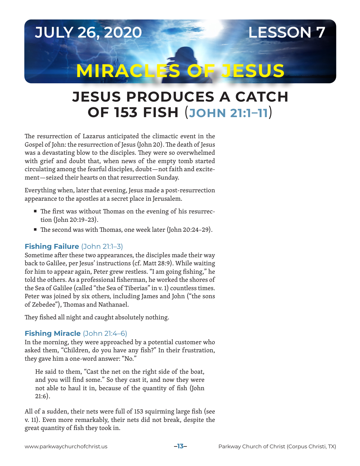

# **JESUS PRODUCES A CATCH OF 153 FISH** (**JOHN 21:1–11**)

The resurrection of Lazarus anticipated the climactic event in the Gospel of John: the resurrection of Jesus (John 20). The death of Jesus was a devastating blow to the disciples. They were so overwhelmed with grief and doubt that, when news of the empty tomb started circulating among the fearful disciples, doubt—not faith and excitement—seized their hearts on that resurrection Sunday.

Everything when, later that evening, Jesus made a post-resurrection appearance to the apostles at a secret place in Jerusalem.

- The first was without Thomas on the evening of his resurrection (John 20:19–23).
- The second was with Thomas, one week later (John 20:24–29).

# **Fishing Failure** (John 21:1–3)

Sometime after these two appearances, the disciples made their way back to Galilee, per Jesus' instructions (cf. Matt 28:9). While waiting for him to appear again, Peter grew restless. "I am going fishing," he told the others. As a professional fisherman, he worked the shores of the Sea of Galilee (called "the Sea of Tiberias" in v. 1) countless times. Peter was joined by six others, including James and John ("the sons of Zebedee"), Thomas and Nathanael.

They fished all night and caught absolutely nothing.

# **Fishing Miracle** (John 21:4–6)

In the morning, they were approached by a potential customer who asked them, "Children, do you have any fish?" In their frustration, they gave him a one-word answer: "No."

He said to them, "Cast the net on the right side of the boat, and you will find some." So they cast it, and now they were not able to haul it in, because of the quantity of fish (John 21:6).

All of a sudden, their nets were full of 153 squirming large fish (see v. 11). Even more remarkably, their nets did not break, despite the great quantity of fish they took in.